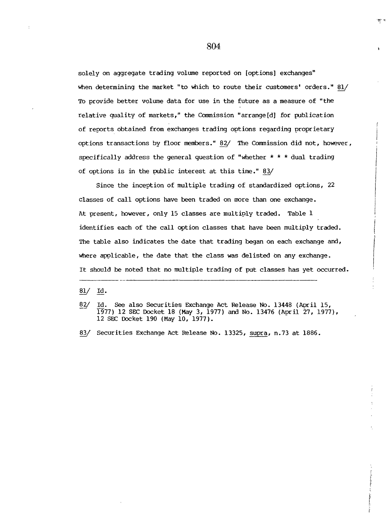solely on aggregate trading volume reported on [options] exchanges" when determining the market "to which to route their customers' orders." 81/ To provide better volume data for use in the future as a measure of "the relative quality of markets," the Commission "arrange[d] for publication of reports obtained from exchanges trading options regarding proprietary options transactions by floor members." 82/ The Commission did not, however, specifically address the general question of "whether  $* * *$  dual trading of options is in the public interest at this time." 83/

Since the inception of multiple trading of standardized options, 22 classes of call options have been traded on more than one exchange. At present, however, only 15 classes are multiply traded. Table 1 identifies each of the call option classes that have been multiply traded. The table also indicates the date that trading began on each exchange and, where applicable, the date that the class was delisted on any exchange. It should be noted that no multiple trading of put classes has yet occurred.

81/ Id.

<sup>82/</sup> Id. See also Securities Exchange Act Release No. 13448 (April 15, 1977) 12 SEC Docket 18 (May 3, 1977) and No. 13476 (April 27, 1977), 12 SEC Docket 190 (May i0, 1977).

<sup>83/</sup> Securities Exchange Act Release No. 13325, supra, n.73 at 1886.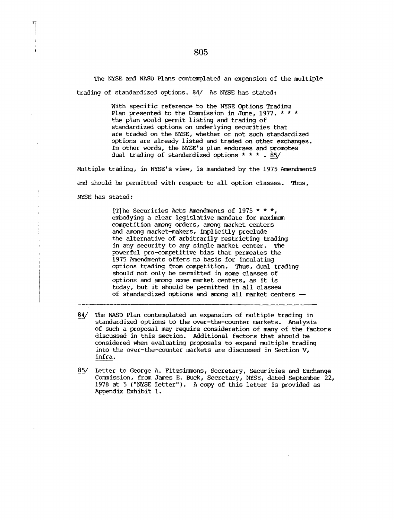The NYSE and NASD Plans contemplated an expansion of the multiple

trading of standardized options. 84/ As NYSE has stated:

With specific reference to the NYSE Options Trading Plan presented to the Commission in June, 1977,  $* * *$ the plan would permit listing and trading of standardized options on underlying securities that are traded on the NYSE, whether or not such standardized options are already listed and traded on other exchanges. In other words, the NYSE's plan endorses and promotes dual trading of standardized options \* \* \* . 85/

Multiple trading, in NYSE's view, is mandated by the 1975 Amendments and should be permitted with respect to all option classes. Thus, NYSE has stated:

> [T] he Securities Acts Amendments of 1975 \* \* \*, embodying a clear legislative mandate for maximum competition among orders, among market centers and among market-makers, implicitly preclude the alternative of arbitrarily restricting trading in any security to any single market center. The powerful pro-competitive bias that permeates the 1975 Amendments offers no basis for insulating options trading from competition. Tnus, dual trading should not only be permitted in some classes of options and among some market centers, as it is today, but it should be permitted in all classes of standardized options and among all market centers --

- **84\_/** The NASD Plan contemplated an expansion of multiple trading in standardized options to the over-the-counter markets. Analysis of such a proposal may require consideration of many of the factors discussed in this section. Additional factors that should be considered when evaluating proposals to expand multiple trading into the over-the-counter markets are discussed in Section V, infra.
- 85/ Letter to George A. Fitzsimmons, Secretary, Securities and Exchange Commission, from James E. Buck, Secretary, NYSE, dated September 22, 1978 at 5 ("NYSE Letter"). A copy of this letter is provided as Appendix Exhibit I.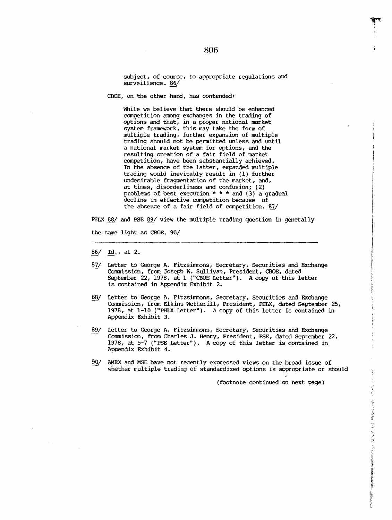subject, of course, to appropriate regulations and surveillance. 86/

CBOE, on the other hand, has contended:

While we believe that there should be enhanced competition among exchanges in the trading of options and that, in a proper national market system framework, this may take the form of multiple trading, further expansion of multiple trading should not be permitted unless and until a national market system for options, and the resulting creation of a fair field of market competition, have been substantially achieved. In the absence of the latter, expanded multiple trading would inevitably result in (I) further undesirable fragmentation of the market, and, at times, disorderliness and confusion; (2) problems of best execution  $* * *$  and (3) a gradual decline in effective competition because of the absence of a fair field of competition. 87/

PHLX 88/ and PSE 89/ view the multiple trading question in generally

the same light as CBOE. 90/

Id., at 2.

- 87/ Letter to George A. Fitzsimmons, Secretary, Securities and Exchange Commission, from Joseph W. Sullivan, President, CBOE, dated September 22, 1978, at 1 ("CBOE Letter"). A copy of this letter is contained in Appendix Exhibit 2.
- 88/ Letter to George A. Fitzsimmons, Secretary, Securities and Exchange Commission, from Elkins Wetherill, President, PHLX, dated September 25, 1978, at i-i0 ("PHLX Letter"). A copy of this letter is contained in Appendix Exhibit 3.
- **8\_9\_/** Letter to George A. Fitzsimmons, Secretary, Securities and Exchange Commission, from Charles J. Henry, President, PSE, dated September 22, 1978, at 5-7 ("PSE Letter"). A copy of this letter is contained in Appendix Exhibit 4.
- **90-/** AMEX and MSE have not recently expressed views on the broad issue of whether multiple trading of standardized options is appropriate or should

(footnote continued on next page)

**MAR** 

あるい ちょうこう

いきょう きょうこう

Service and the district in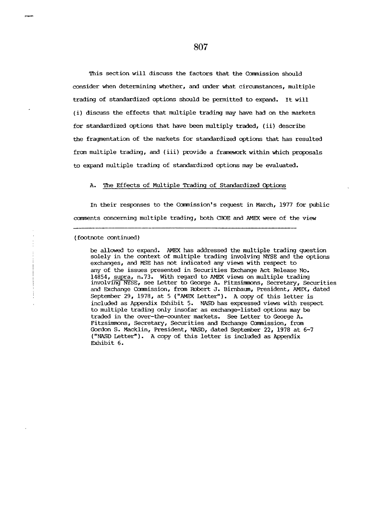This section will discuss the factors that the Commission should consider when determining whether, and under what circumstances, multiple trading of standardized options should be permitted to expand. It will (i) discuss the effects that multiple trading may have had on the markets for standardized options that have been multiply traded, (ii) describe the fragmentation of the markets for standardized options that has resulted frcm multiple trading, and (iii) provide a framework within which proposals to expand multiple trading of standardized options may be evaluated.

### A. The Effects of Multiple Trading of Standardized Options

In their responses to the Commission's request in March, 1977 for public comments concerning multiple trading, both CBOE and AMEX were of the view

### ( footnote continued)

be allowed to expand. AMEX has addressed the multiple trading question solely in the context of multiple trading involving NYSE and the options exchanges, and MSE has not indicated any views with respect to any of the issues presented in Securities Exchange Act Release No. 14854, supra, n.73. With regard to AMEX views on multiple trading involving NYSE, see Letter to George A. Fitzsimmons, Secretary, Securities and Exchange Commission, from Robert J. Birnbaum, President, AMEX, dated September 29, 1978, at 5 ("AMEX Letter"). A copy of this letter is included as Appendix Exhibit 5. NASD has expressed views with respect to multiple trading only insofar as exchange-listed options may be traded in the over-the-counter markets. See Letter to George A. Fitzsimmons, Secretary, Securities and Exchange Commission, from Gordon S. Macklin, President, NASD, dated September 22, 1978 at 6-7 ("NASD Letter"). A copy of this letter is included as Appendix Exhibit 6.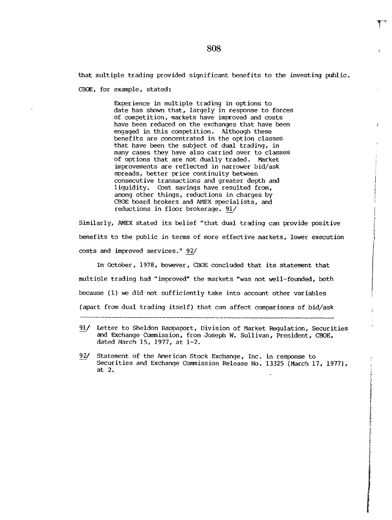that multiple trading provided significant benefits to the investing public.

CBOE, for example, stated:

Experience in multiple trading in options to date has shown that, largely in response to forces of competition, markets have improved and costs have been reduced on the exchanges that have been engaged in this competition. Although these benefits are concentrated in the option classes that have been the subject of dual trading, in many cases they have also carried over to classes of options that are not dually traded. Market improvements are reflected in narrower bid/ask spreads, better price continuity between consecutive transactions and greater depth and liquidity. Cost savings have resulted from, among other things, reductions in charges by CBOE board brokers and AMEX specialists, and reductions in floor brokerage. 91/

Similarly, AMEX stated its belief "that dual trading can provide positive benefits to the public in terms of more effective markets, lower execution costs and improved services." 92/

In October, 1978, however, CBOE concluded that its statement that multiole trading had "improved" the markets "was not well-founded, both because  $(1)$  we did not sufficiently take into account other variables (apart from dual trading itself) that can affect comparisons of bid/ask

<sup>91/</sup> Letter to Sheldon Rappaport, Division of Market Regulation, Securities and Exchange Commission, from Joseph W. Sullivan, President, CBOE, dated March 15, 1977, at 1-2.

**<sup>92/</sup>** Statement of the American Stock Exchange, Inc. in response to Securities and Exchange Commission Release No. 13325 (March 17, 1977), at 2.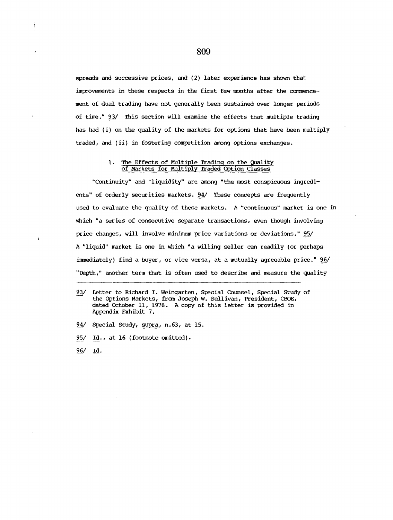spreads and successive prices, and (2) later experience has shown that improvements in these respects in the first few months after the commencement of dual trading have not generally been sustained over longer periods of time." 93/ This section will examine the effects that multiple trading has had (i) on the quality of the markets for options that have been multiply traded, and (ii) in fostering competition among options exchanges.

## 1. The Effects of Multiple Trading on the Quality of Markets for Multiply Traded Option Classes

"Continuity" and "liquidity" are among "the most conspicuous ingredients" of orderly securities markets. 94/ These concepts are frequently used to evaluate the quality of these markets. A "continuous" market is one in which "a series of consecutive separate transactions, even though involving price changes, will involve minimum price variations or deviations." 95/ A "liquid" market is one in which "a willing seller can readily (or perhaps immediately) find a buyer, or vice versa, at a mutually agreeable price."  $96/$ "Depth," another term that is often used to describe and measure the quality

- 94/ Special Study, <u>supra,</u> n.63, at 15.
- 95/ Id., at 16 (footnote omitted).
- 96/ Id.

Letter to Richard I. Weingarten, Special Counsel, Special Study of 93/ the Options Markets, from Joseph W. Sullivan, President, CBOE, dated October 11, 1978. A copy of this letter is provided i Appendix Exhibit 7.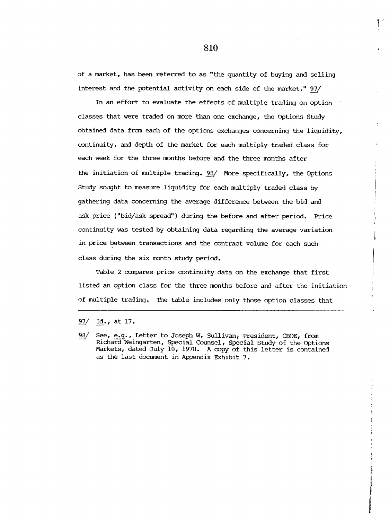**of a market, has been referred to as "the quantity of buying and selling interest and the potential activity on each side of the market." 97/**

**In an effort to evaluate the effects of multiple trading on option** classes that were traded on more than one exchange, the Options Study **obtained data from each of the options exchanges concerning the liquidity, continuity, and depth of the market for each multiply traded class for each week for the three months before and the three months after** the initiation of multiple trading. 98/ More specifically, the Options **Study sought to measure liquidity for each multiply traded class by gathering data concerning the average difference between the bid and ask price ("bid/ask spread") during the before and after period. Price continuity was tested by obtaining data regarding the average variation** in price between transactions and the contract volume for each such **class during the six month study period.**

**Table 2 compares price continuity data on the exchange that first listed an option class for the three months before and after the initiation of multiple trading. The table includes only those option classes that**

<sup>97/</sup> Id., at 17.

<sup>98/</sup> See, e.g., Letter to Joseph W. Sullivan, President, CBOE, from **Richard Weingarten, Special Counsel, Special Study of the Options Markets, dated July 10, 1978. A copy of this letter is contained** as the last document in Appendix Exhibit 7.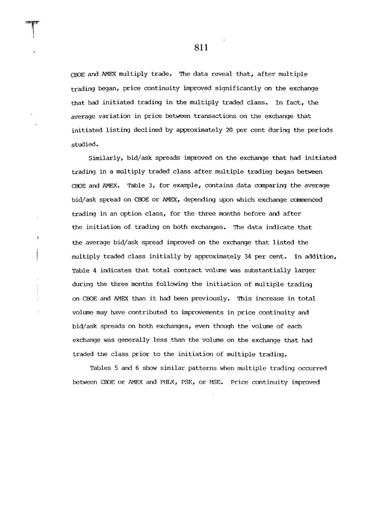CBOE and AMEX multiply trade. The data reveal that, after multiple trading began, price continuity improved significantly on the exchange that had initiated trading in the multiply traded class. In fact, the average variation in price between transactions on the exchange that initiated listing declined by approximately 20 per cent during the periods studied.

Similarly, bid/ask spreads improved on the exchange that had initiated trading in a multiply traded class after multiple trading began between  $CBOE$  and  $AMEX$ . Table 3, for example, contains data comparing the average bid/ask spread on CBOE or AMEX, depending upon which exchange commenced trading in an option class, for the three months before and after the initiation of trading on both exchanges. The data indicate that the average bid/ask spread improved on the exchange that listed the multiply traded class initially by approximately 34 per cent. In addition, Table 4 indicates that total contract volume was substantially larger during the three months following the initiation of multiple trading on CBOE and AMEX than it had been previously. This increase in total volume may have contributed to improvements in price continuity and bid/ask spreads on both exchanges, even though the volume of each exchange was generally less than the volume on the exchange that had traded the class prior to the initiation of multiple trading.

Tables 5 and 6 show similar patterns when multiple trading occurred between CBOE or AMEK and PHLX, PSE, or MSE. Price continuity improved

**811**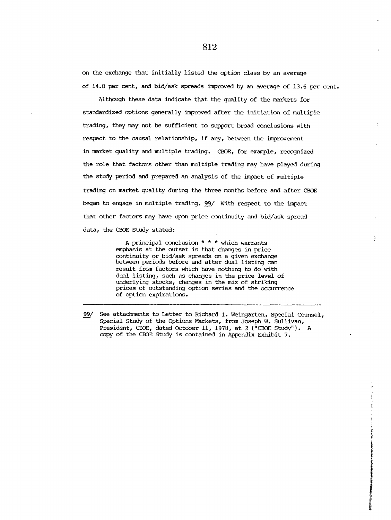on the exchange that initially listed the option class by an average of 14.8 per cent, and bid/ask spreads improved by an average of 13.6 per cent.

Although these data indicate that the quality of the markets for standardized options generally improved after the initiation of multiple trading, they may not be sufficient to support broad conclusions with respect to the causal relationship, if any, between the improvement in market quality and multiple trading. CBOE, for example, recognized the role that factors other than multiple trading may have played during the study period and prepared an analysis of the impact of multiple trading on market quality during the three months before and after CBOE began to engage in multiple trading. 99/ With respect to the impact that other factors may have upon price continuity and bid/ask spread data, the CBOE Study stated:

> A principal conclusion  $\star \star \star$  which warrants emphasis at the outset is that changes in price continuity or bid/ask spreads on a given exchange between periods before and after dual listing can result from factors which have nothing to do with dual listing, such as changes in the price level of underlying stocks, changes in the mix of striking prices of outstanding option series and the occurrence of option expirations.

99/ See attachments to Letter to Richard I. Weingarten, Special Counsel, Special Study of the Options Markets, from Joseph W. Sullivan, President, CBOE, dated October 11, 1978, at 2 ("CBOE Study"). A copy of the CBOE Study is contained in Appendix Exhibit 7.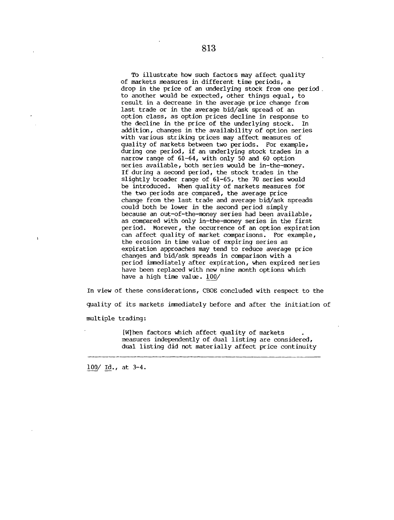To illustrate how such factors may affect quality of markets measures in different time periods, a drop in the price of an underlying stock from one period. to another would be expected, other things equal, to result in a decrease in the average price change from last trade or in the average bid/ask spread of an option class, as option prices decline in response to the decline in the price of the underlying stock. In addition, changes in the availability of option series with various striking prices may affect measures of quality of markets between two periods. For example, during one period, if an underlying stock trades in a narrow range of 61-64, with only 50 and 60 option series available, both series would be in-the-money. If during a second period, the stock trades in the slightly broader range of 61-65, the 70 series would be introduced. When quality of markets measures for the two periods are compared, the average price change from the last trade and average bid/ask spreads could both be lower in the second period simply because an out-of-the-money series had been available, as compared with only in-the-money series in the first period. Morever, the occurrence of an option expiration can affect quality of market comparisons. For example, the erosion in time value of expiring series as expiration approaches may tend to reduce average price changes and bid/ask spreads in comparison with a period immediately after expiration, when expired series have been replaced with new nine month options which have a high time value. 100/

In view of these considerations, CBOE concluded with respect to the quality of its markets immediately before and after the initiation of multiple trading:

> [W]hen factors which affect quality of markets measures independently of dual listing are considered, dual listing did not materially affect price continuity

**100/ Id., at 3-4.**

 $\mathbf{A}$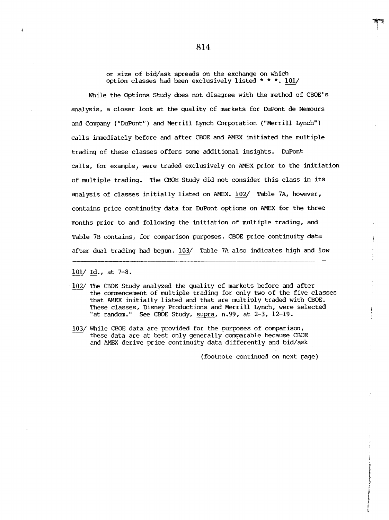or size of bid/ask spreads on the exchange on which option classes had been exclusively listed \* \* \*. i01/

While the Options Study does not disagree with the method of CBOE's analysis, a closer look at the quality of markets for DuPont de Nemours and Company ("DuPont") and Merrill Lynch Corporation ("Merrill Lynch") calls immediately before and after CBOE and AMEX initiated the multiple trading of these classes offers some additional insights. DuPont calls, for example, were traded exclusively on AMEX prior to the initiation of multiple trading. The CBOE Study did not consider this class in its analysis of classes initially listed on AMEX. 102/ Table 7A, however, contains price continuity data for DuPont options on AMEX for the three months prior to and following the initiation of multiple trading, and Table 7B contains, for comparison purposes, CBOE price continuity data after dual trading had begun. 103/ Table 7A also indicates high and low

i01/ Id., at 7-8.

- 102/ The CBOE Study analyzed the quality of markets before and after the commencement of multiple trading for only two of the five classes that AMEX initially listed and that are multiply traded with CBOE. These classes, Disney Productions and Merrill Lynch, were selected "at random." See CBOE Study, supra, n.99, at 2-3, 12-19.
- 103/ While CBOE data are provided for the purposes of comparison, these data are at best only generally comparable because CBOE and AMEX derive price continuity data differently and bid/ask

(footnote continued on next page)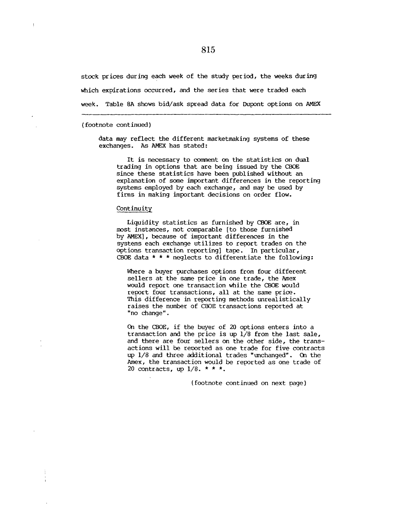stock prices during each week of the study period, the weeks during which expirations occurred, and the series that were traded each week. Table 8A shows bid/ask spread data for Dupont options on AMEX

#### (footnote continued)

 $\mathfrak k$ 

data may reflect the different marketmaking systems of these exchanges. As AMEX has stated:

It is necessary to comment on the statistics on dual trading in options that are being issued by the CBOE since these statistics have been published without an explanation of some important differences in the reporting systems employed by each exchange, and may be used by firms in making important decisions on order flow.

# Continuity

Liquidity statistics as furnished by CBOE are, in most instances, not comparable [to those furnished by AMEX], because of important differences in the systems each exchange utilizes to report trades on the options transaction reporting] tape. In particular, CBOE data \* \* \* neglects to differentiate the following:

Where a buyer purchases options from four different sellers at the same price in one trade, the Amex would report one transaction while the CBOE would report four transactions, all at the same price. This difference in reporting methods unrealistically raises the number of CBOE transactions reported at "no change".

On the CBOE, if the buyer of 20 options enters into a transaction and the price is up 1/8 from the last sale, and there are four sellers on the other side, the transactions will be reported as one trade for five contracts up 1/8 and three additional trades "unchanged". On the Amex, the transaction would be reported as one trade of 20 contracts, up i/8. \* \* \*.

(footnote continued on next page)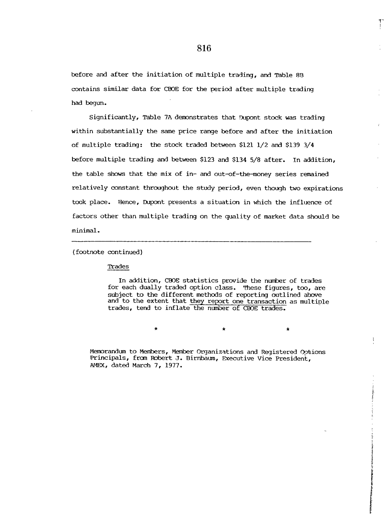before and after the initiation of multiple trading, and Table 88 contains similar data for CBOE for the period after multiple trading had begun.

Significantly, Table 7A demonstrates that Oupont stock was trading within substantially the same price range before and after the initiation of multiple trading: the stock traded between \$121 1/2 and \$139 3/4 before multiple trading and between \$123 and \$134 5/8 after. In addition, the table shows that the mix of in- and out-of-the-money series remained relatively constant throughout the study period, even though two expirations took place. Hence, Dupont presents a situation in which the influence of factors other than multiple trading on the quality of market data should be minimal.

( footnote continued)

Trades

In addition, CBOE statistics provide the number of trades for each dually traded option class. These figures, too, are subject to the different methods of reporting outlined above and to the extent that they report one transaction as multiple trades, tend to inflate the number of CBOE trades.

 $\bullet$ 

Memorandum to Members, Member Organizations and Registered Options Principals, from Robert J. Birnbaum, Executive Vice President, AMEX, dated March 7, 1977.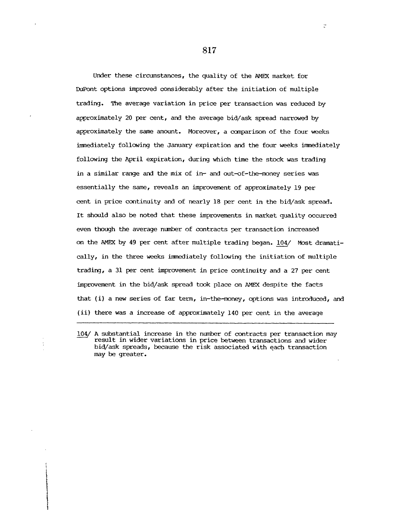Under these circumstances, the quality of the AMEX market for DuPont options improved considerably after the initiation of multiple trading. The average variation in price per transaction was reduced by approximately 20 per cent, and the average bid/ask spread narrowed by approximately the same amount. Moreover, a comparison of the four weeks imaediately following the January expiration and the four weeks inmediately following the April expiration, during which time the stock was trading in a similar range and the mix of in- and out-of-the-money series was essentially the same, reveals an improvement of approximately 19 per cent in price continuity and of nearly 18 per cent in the bid/ask spread. It should also be noted that these improvements in market quality occurred even though the average number of contracts per transaction increased on the AMEX by 49 per cent after multiple trading began. 104/ Most dramatically, in the three weeks immediately following the initiation of multiple trading, a 31 per cent improvement in price continuity and a 27 per cent improvement in the bid/ask spread took place on AMEX despite the facts that (i) a new series of far term, in-the-money, options was introduced, and (ii) there was a increase of approximately 140 per cent in the average

104/ A substantial increase in the number of contracts per transaction may result in wider variations in price between transactions and wider bid/ask spreads, because the risk associated with each transaction may be greater.

817

÷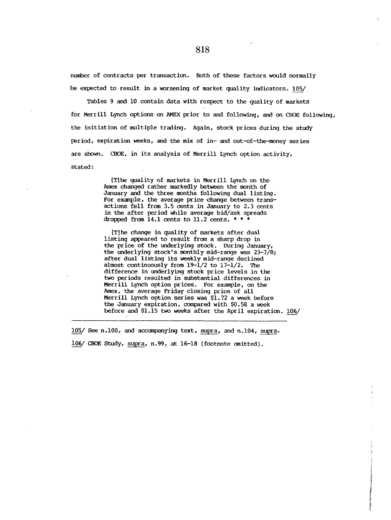number of contracts per transaction. Both of these factors would normally be expected to result in a worsening of market quality indicators. 105/

Tables 9 and i0 contain data with respect to the quality of markets for Merrill Lynch options on AMEX prior to and following, and on CBOE following, the initiation of multiple trading. Again, stock prices during the study period, expiration weeks, and the mix of in- and out-of-the-money series are shown. CBOE, in its analysis of Merrill Lynch option activity, stated:

> [T]he quality of markets in Merrill Lynch on the Amex changed rather markedly between the month of January and the three months following dual listing. For example, the average price change between transactions fell from 3.5 cents in January to 2.3 cents in the after period while average bid/ask spreads dropped from 14.1 cents to 11.2 cents.  $\star \star \star$

[T]he change in quality of markets after dual listing appeared to result from a sharp drop in the price of the underlying stock. During January, the underlying stock's monthly mid-range was 23-7/8; after dual listing its weekly mid-range declined almost continuously from 19-1/2 to 17-1/2. The difference in underlying stock price levels in the two periods resulted in substantial differences in Merrill Lynch option prices. For example, on the Amex, the average Friday closing price of all Merrill Lynch option series was \$1.72 a week before the January expiration, compared with \$0.58 a week before and \$1.15 two weeks after the April expiration. 106/

105/ See n.100, and accompanying text, supra, and n.104, supra. 106/ CBOE Study, supra, n.99, at 16-18 (footnote omitted).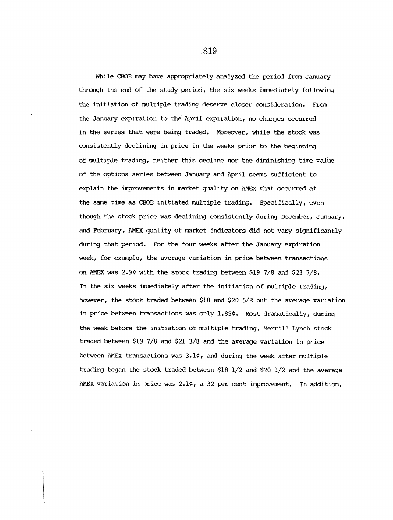While CBOE may have appropriately analyzed the period from January through the end of the study period, the six weeks immediately following the initiation of multiple trading deserve closer consideration. From the January expiration to the April expiration, no changes occurred in the series that were being traded. Moreover, while the stock was consistently declining in price in the weeks prior to the beginning of multiple trading, neither this decline nor the diminishing time valhe of the options series between January and April seems sufficient to explain the improvements in market quality on AMEX that occurred at the same time as CBOE initiated multiple trading. Specifically, even though the stock price was declining consistently during December, January, and February, AMEX quality of market indicators did not vary significantly during that period. For the four weeks after the January expiration week, for example, the average variation in price between transactions on AMEX was 2.9¢ with the stock trading between \$19 7/8 and \$23 7/8. In the six weeks immediately after the initiation of multiple trading, however, the stock traded between \$18 and \$20 5/8 but the average variation in price between transactions was only 1.85¢. Most dramatically, during the week before the initiation of multiple trading, Merrill Lynch stock traded between \$19 7/8 and \$21 3/8 and the average variation in price between AMEX transactions was  $3.1\hat{c}$ , and during the week after multiple trading began the stock traded between \$18 1/2 and \$20 1/2 and the average AMEX variation in price was  $2.1$  $\diamond$ , a 32 per cent improvement. In addition,

.819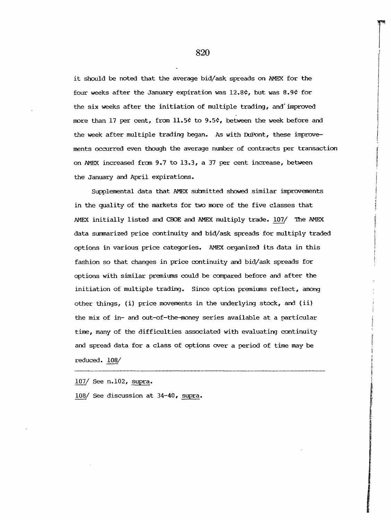it should be noted that the average bid/ask spreads on AMEX for the four weeks after the January expiration was 12.8¢, but was 8.9¢ for the six weeks after the initiation of multiple trading, and improved more than 17 per cent, from 11.5¢ to 9.5¢, between the week before and the week after multiple trading began. As with DuPont, these improvements occurred even though the average number of contracts per transaction on AMEX increased from  $9.7$  to  $13.3$ , a 37 per cent increase, between the January and April expirations.

Supplemental data that AMEX submitted showed similar improvements in the quality of the markets for two more of the five classes that AMEX initially listed and CBOE and AMEX multiply trade. 107/ The AMEX data summarized price continuity and bid/ask spreads for multiply traded options in various price categories. AMEX organized its data in this fashion so that changes in price continuity and bid/ask spreads for options with similar premiums could be compared before and after the initiation of multiple trading. Since option premiums reflect, among other things, (i) price movements in the underlying stock, and (ii) the mix of in- and out-of-the-money series available at a particular time, many of the difficulties associated with evaluating continuity and spread data for a class of options over a period of time may be reduced. 108/

107/ See n.102, supra.

108/ See discussion at 34-40, supra.

**82O**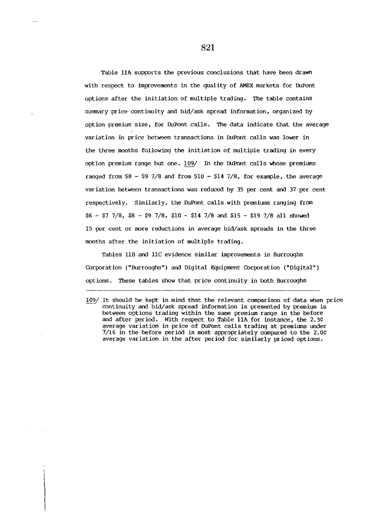Table IIA supports the previous conclusions that have been drawn with respect to improvements in the quality of AMEX markets for DuPont options after the initiation of multiple trading. The table contains summary price continuity and bid/ask spread information, organized by option premium size, for DuPont calls. The data indicate that the average variation in price between transactions in DuPont calls was lower in the three months following the initiation of multiple trading in every option premium range but one. 109/ In the DuPont calls whose premiums ranged from  $$8 - $9 \text{ 7}/8$  and from  $$10 - $14 \text{ 7}/8$ , for example, the average variation between transactions was reduced by 35 per cent and 37 per cent respectively. Similarly, the DuPont calls with premiums ranging from  $$6 - $7 \ 7/8, $8 - $9 \ 7/8, $10 - $14 \ 7/8 \text{ and } $15 - $19 \ 7/8 \text{ all showed}$ 15 per cent or more reductions in average bid/ask spreads in the three months after the initiation of multiple trading.

Tables lib and IIC evidence similar improvements in Burroughs Corporation ("Burroughs") and Digital Equipment Corporation ("Digital") options. These tables show that price continuity in both Burroughs

 $\ddot{\phantom{0}}$ 

<sup>109/</sup> It should be kept in mind that the relevant comparison of data when price continuity and bid/ask spread information is presented by premium is between options trading within the same premium range in the before and after period. With respect to Table IIA for instance, the 2.3¢ average variation in price of DuPont calls trading at premiums under 7/16 in the before period is most appropriately compared to the 2.0¢ average variation in the after period for similarly priced options.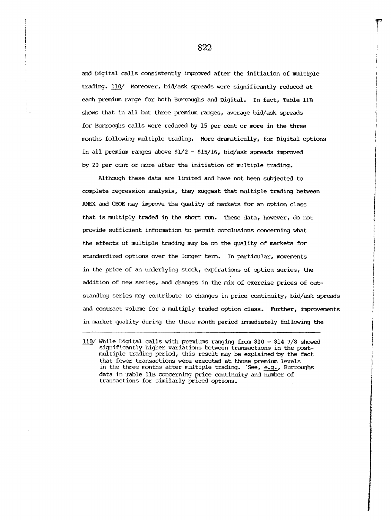**and Digital calls consistently improved after the initiation of multiple trading. Ii0/ Moreover, bid/ask spreads were significantly reduced at** each premium range for both Burroughs and Digital. In fact, Table llB **shows that in all but three premium ranges, average bid/ask spreads for Burroughs calls were reduced by 15 per cent or more in the three months following multiple trading. More dramatically, for Digital options in all premium ranges above \$1/2 - \$15/16, bid/ask spreads improved by 20 per cent or more after the initiation of multiple trading.**

**Although these data are limited and have not been subjected to complete regression analysis, they suggest that multiple trading between AMEX and CBOE may improve the quality o£ markets for an option class that is multiply traded in the short run. These data, however, do not provide sufficient information to permit conclusions concerning what the effects of multiple trading may be on the quality of markets for standardized options over the longer term. In particular, movements in the price of an underlying stock, expirations of option series, the addition of new series, and changes in the mix of exercise prices of outstanding series may contribute to changes in price continuity, bid/ask spreads** and contract volume for a multiply traded option class. Further, improvements **in market quality during the three month period immediately following the**

**ii0/** While Digital calls with premiums ranging from \$10 - \$14 7/8 showed **significantly higher variations between transactions in the postmultiple trading period, this result may be explained-by the fact that fewer transactions were executed at those premium levels in the three months after multiple trading. "See, e.g., Burroughs data in Table lIB concerning price continuity and number of transactions for similarly priced options.**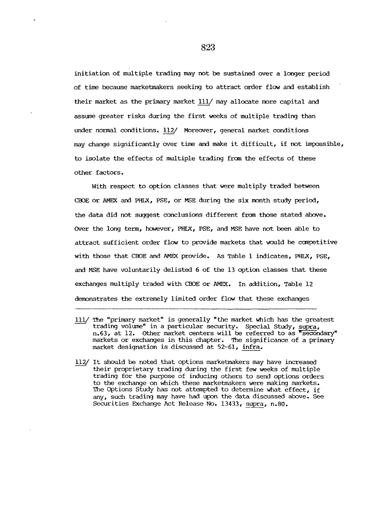initiation of multiple trading may not be sustained over a longer period of time because marketmakers seeking to attract order flow and establish their market as the primary market 111/ may allocate more capital and assume greater risks during the first weeks of multiple trading than under normal conditions. 112/ Moreover, general market conditions may change significantly over time and make it difficult, if not impossible, to isolate the effects of multiple trading from the effects of these other factors.

With respect to option classes that were multiply traded between CBOE or AMEX and PHLX, PSE, or MSE during the six month study period, the data did not suggest conclusions different from those stated above. Over the long term, however, PHLX, PSE, and MSE have not been able to attract sufficient order flow to provide markets that would be competitive with those that CBOE and AMEX provide. As Table 1 indicates, PHLX, PSE, and MSE have Voluntarily delisted 6 of the 13 option classes that these exchanges multiply traded with CBOE or AMEX. In addition, Table 12 demonstrates the extremely limited order flow that these exchanges

- iii/ The "primary market" is generally "the market which has the greatest trading volume" in a particular security. Special Study, supra, n.63, at 12. Other market centers will be referred to as "secondary" markets or exchanges in this chapter. The significance of a primary market designation is discussed at 52-61, infra.
- 112/ It should be noted that options marketmakers may have increased their proprietary trading during the first few weeks of multiple trading for the purpose of inducing others to send options orders to the exchange on which these marketmakers were making markets. The Options Study has not attempted to determine what effect, if any, such trading may have had upon the data discussed above. See Securities Exchange Act Release No. 13433, supra, n.80.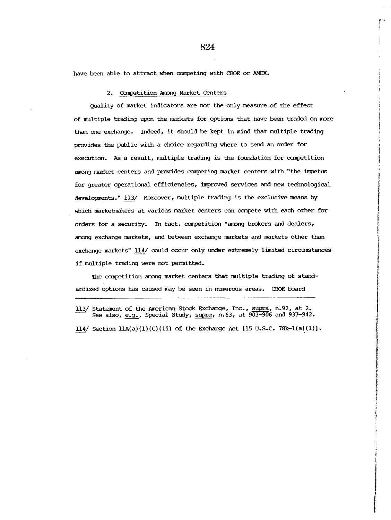have been able to attract when competing with CBOE or AMEX.

# 2. Competition Among Market Centers

Quality of market indicators are not the only measure of the effect of multiple trading upon the markets for options that have been traded on more than one exchange. Indeed, it should be kept in mind that multiple trading provides the public with a choice regarding where to send an order for execution. As a result, multiple trading is the foundation for ccmpetition among market centers and provides competing market centers with "the impetus for greater operational efficiencies, improved services and new technological developments." 113/ Moreover, multiple trading is the exclusive means by which marketmakers at various market centers can compete with each other for orders for a security. In fact, competition "among brokers and dealers, among exchange markets, and between exchange markets and markets other than exchange markets" 114/ could occur only under extremely limited circumstances if multiple trading were not permitted.

The competition among market centers that multiple trading of standardized options has caused may be seen in numerous areas. CBOE board

<sup>113/</sup> Statement of the American Stock Exchange, Inc., supra, n.92, at 2. See also, e.g., Special Study, supra, n.63, at 903-906 and 937-942.

<sup>114/</sup> Section llA(a)(1)(C)(ii) of the Exchange Act [15 U.S.C. 78k-l(a)(1)].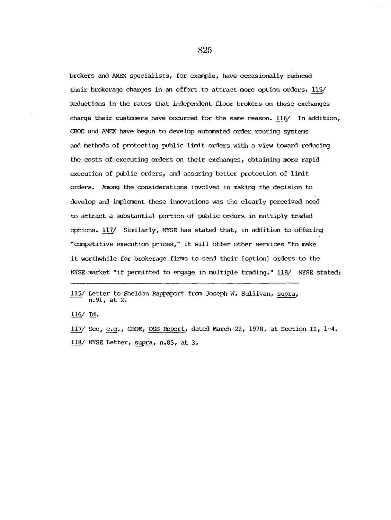brokers and AMEX specialists, for example, have occasionally reduced their brokerage charges in an effort to attract more option orders. 115/ Reductions in the rates that independent floor brokers on these exchanges charge their customers have occurred for the same reason. 116/ In addition, CBOE and AMEX have begun to develop automated order routing systems and methods of protecting public limit orders with a view toward reducing the costs of executing orders on their exchanges, obtaining more rapid execution of public orders, and assuring better protection of limit orders. Among the considerations involved in making the decision to develop and implement these innovations was the clearly perceived need to attract a substantial portion of public orders in multiply traded options. 117/ Similarly, NYSE has stated that, in addition to offering "competitive execution prices," it will offer other services "to make it worthwhile for brokerage firms to send their [option] orders to the NYSE market "if permitted to engage in multiple trading." 118/ NYSE stated:

115/ Letter to Sheldon Rappaport from Joseph W. Sullivan, supra, n.91, at 2.

 $116/$  Id.

117/ See, e.g., CBOE, OSS Report, dated March 22, 1978, at Section II, 1-4. 118/ NYSE Letter, supra, n.85, at 3.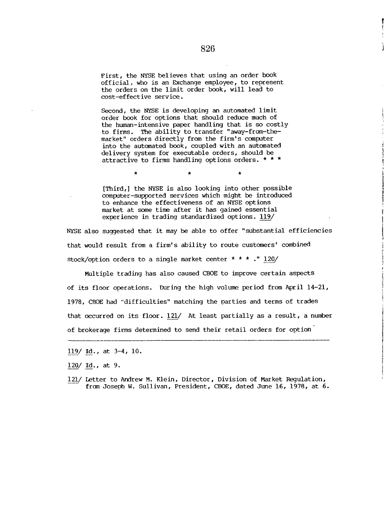First, the NYSE believes that using an order book official, who is an Exchange employee, to represent the orders on the limit order book, will lead to cost-effective service.

Second, the NYSE is developing an automated limit order book for options that should reduce much of the human-intensive paper handling that is so costly to firms. The ability to transfer "away-from-themarket" orders directly from the firm's computer into the automated book, coupled with an automated delivery system for executable orders, should be attractive to firms handling options orders. \* \* \*

[Third,] the NYSE is also looking into other possible computer-supported services which might be introduced to enhance the effectiveness of an NYSE options market at some time after it has gained essential experience in trading standardized options. 119/

NYSE also suggested that it may be able to offer "substantial efficiencies that would result from a firm's ability to route customers' combined stock/option orders to a single market center  $* * * * " 120/$ 

Multiple trading has also caused CBOE to improve certain aspects of its floor operations. During the high volume period from April 14-21, 1978, CBOE had "difficulties" matching the parties and terms of trades that occurred on its floor. 121/ At least partially as a result, a number of brokerage firms determined to send their retail orders for option

ì

 $\epsilon$  is a set in eq. (

 $\frac{1}{2}$ 

 $\begin{aligned} \mathcal{L}_{\mathcal{M}}(\mathcal{M}_{\mathcal{M}}^{\mathcal{M}}\mathcal{M}_{\mathcal{M}}^{\mathcal{M}}\mathcal{M}_{\mathcal{M}}^{\mathcal{M}}) = \mathcal{L}_{\mathcal{M}}(\mathcal{M}_{\mathcal{M}}^{\mathcal{M}}\mathcal{M}_{\mathcal{M}}^{\mathcal{M}}\mathcal{M}_{\mathcal{M}}^{\mathcal{M}}). \end{aligned}$ 

<sup>119/</sup> Id., at 3-4, I0.

 $120/$  Id., at 9.

<sup>121/</sup> Letter to Andrew M. Klein, Director, Division of Market Regulation, from Joseph W. Sullivan, President, CBOE, dated June 16, 1978, at 6.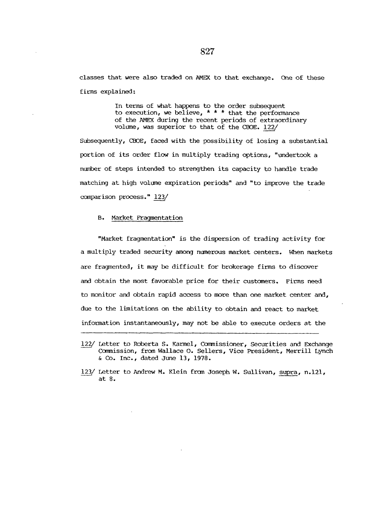classes that were also traded on AMEX to that exchange. One of these firms explained:

> In terms of what happens to the order subsequent to execution, we believe,  $* * *$  that the performance of the AMEX during the recent periods of extraordinary volume, was superior to that of the CBOE. 122/

Subsequently, CBOE, faced with the possibility of losing a substantial portion of its order flow in multiply trading options, "undertook a number of steps intended to strengthen its capacity to handle trade matching at high volume expiration periods" and "to improve the trade comparison process." 123/

## B. Market Fraqmentation

"Market fragmentation" is the dispersion of trading activity for a multiply traded security among numerous market centers. When markets are fragmented, it may be difficult for brokerage firms to discover and obtain the most favorable price for their customers. Firms need to monitor and obtain rapid access to more than one market center and, due to the limitations on the ability to obtain and react to market information instantaneously, may not be able to execute orders at the

- 122/ Letter to Roberta S. Karmel, Commissioner, Securities and Exchange Ccnmlission, from Wallace O. Sellers, Vice President, Merrill Lynch & Co. Inc., dated June 13, 1978.
- 123/ Letter to Andrew M. Klein from Joseph W. Sullivan, supra, n.121, at 8.